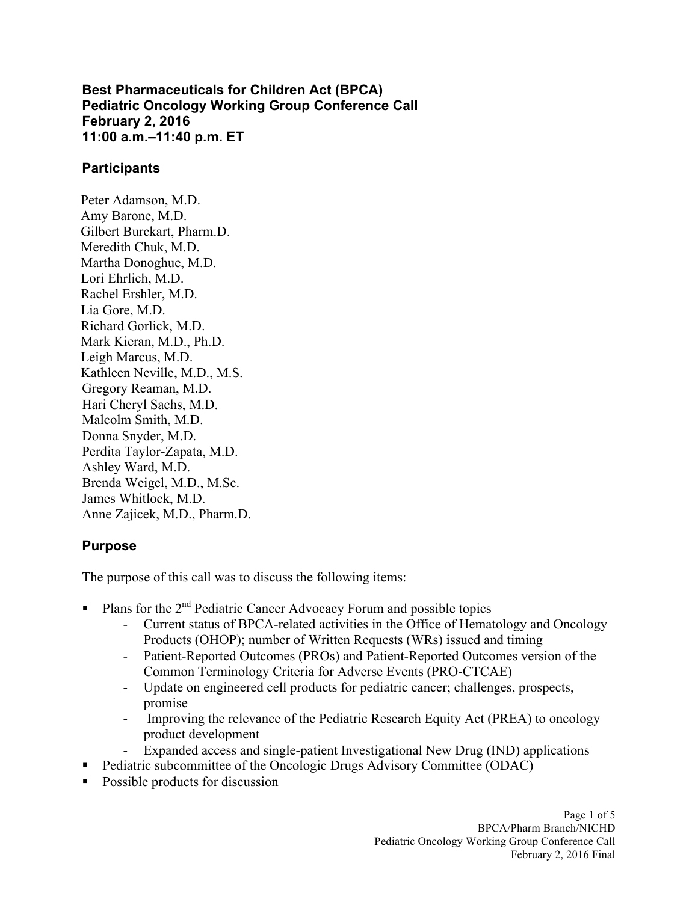**Best Pharmaceuticals for Children Act (BPCA) Pediatric Oncology Working Group Conference Call 11:00 a.m.–11:40 p.m. ET February 2, 2016**

#### **Participants**

Peter Adamson, M.D. Amy Barone, M.D. Gilbert Burckart, Pharm.D. Meredith Chuk, M.D. Martha Donoghue, M.D. Lori Ehrlich, M.D. Rachel Ershler, M.D. Lia Gore, M.D. Richard Gorlick, M.D. Mark Kieran, M.D., Ph.D. Leigh Marcus, M.D. Kathleen Neville, M.D., M.S. Gregory Reaman, M.D. Hari Cheryl Sachs, M.D. Malcolm Smith, M.D. Donna Snyder, M.D. Perdita Taylor-Zapata, M.D. Ashley Ward, M.D. Brenda Weigel, M.D., M.Sc. James Whitlock, M.D. Anne Zajicek, M.D., Pharm.D.

## **Purpose**

The purpose of this call was to discuss the following items:

- **•** Plans for the  $2^{nd}$  Pediatric Cancer Advocacy Forum and possible topics
	- Current status of BPCA-related activities in the Office of Hematology and Oncology Products (OHOP); number of Written Requests (WRs) issued and timing
	- - Patient-Reported Outcomes (PROs) and Patient-Reported Outcomes version of the Common Terminology Criteria for Adverse Events (PRO-CTCAE)
	- Update on engineered cell products for pediatric cancer; challenges, prospects, promise
	- Improving the relevance of the Pediatric Research Equity Act (PREA) to oncology product development
	- Expanded access and single-patient Investigational New Drug (IND) applications
- Pediatric subcommittee of the Oncologic Drugs Advisory Committee (ODAC)
- § Possible products for discussion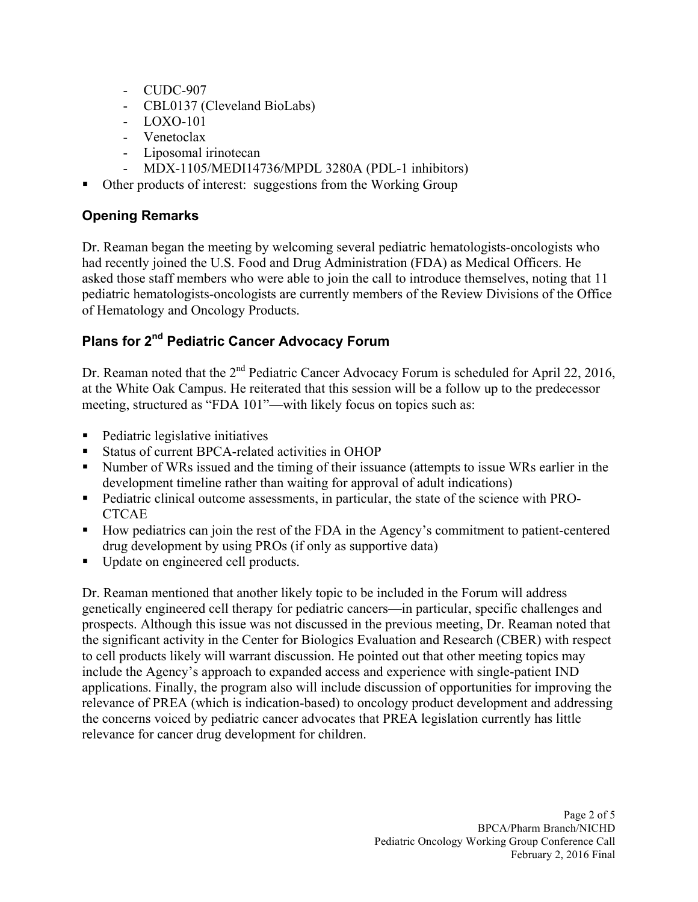- CUDC-907
- CBL0137 (Cleveland BioLabs)
- LOXO-101
- Venetoclax
- Liposomal irinotecan
- MDX-1105/MEDI14736/MPDL 3280A (PDL-1 inhibitors)
- § Other products of interest: suggestions from the Working Group

# **Opening Remarks**

 Dr. Reaman began the meeting by welcoming several pediatric hematologists-oncologists who pediatric hematologists-oncologists are currently members of the Review Divisions of the Office had recently joined the U.S. Food and Drug Administration (FDA) as Medical Officers. He asked those staff members who were able to join the call to introduce themselves, noting that 11 of Hematology and Oncology Products.

# **Plans for 2nd Pediatric Cancer Advocacy Forum**

Dr. Reaman noted that the  $2<sup>nd</sup>$  Pediatric Cancer Advocacy Forum is scheduled for April 22, 2016, at the White Oak Campus. He reiterated that this session will be a follow up to the predecessor meeting, structured as "FDA 101"—with likely focus on topics such as:

- § Pediatric legislative initiatives
- § Status of current BPCA-related activities in OHOP
- Number of WRs issued and the timing of their issuance (attempts to issue WRs earlier in the development timeline rather than waiting for approval of adult indications)
- Pediatric clinical outcome assessments, in particular, the state of the science with PRO-**CTCAE**
- How pediatrics can join the rest of the FDA in the Agency's commitment to patient-centered drug development by using PROs (if only as supportive data)
- Update on engineered cell products.

 genetically engineered cell therapy for pediatric cancers—in particular, specific challenges and the significant activity in the Center for Biologics Evaluation and Research (CBER) with respect include the Agency's approach to expanded access and experience with single-patient IND relevance of PREA (which is indication-based) to oncology product development and addressing Dr. Reaman mentioned that another likely topic to be included in the Forum will address prospects. Although this issue was not discussed in the previous meeting, Dr. Reaman noted that to cell products likely will warrant discussion. He pointed out that other meeting topics may applications. Finally, the program also will include discussion of opportunities for improving the the concerns voiced by pediatric cancer advocates that PREA legislation currently has little relevance for cancer drug development for children.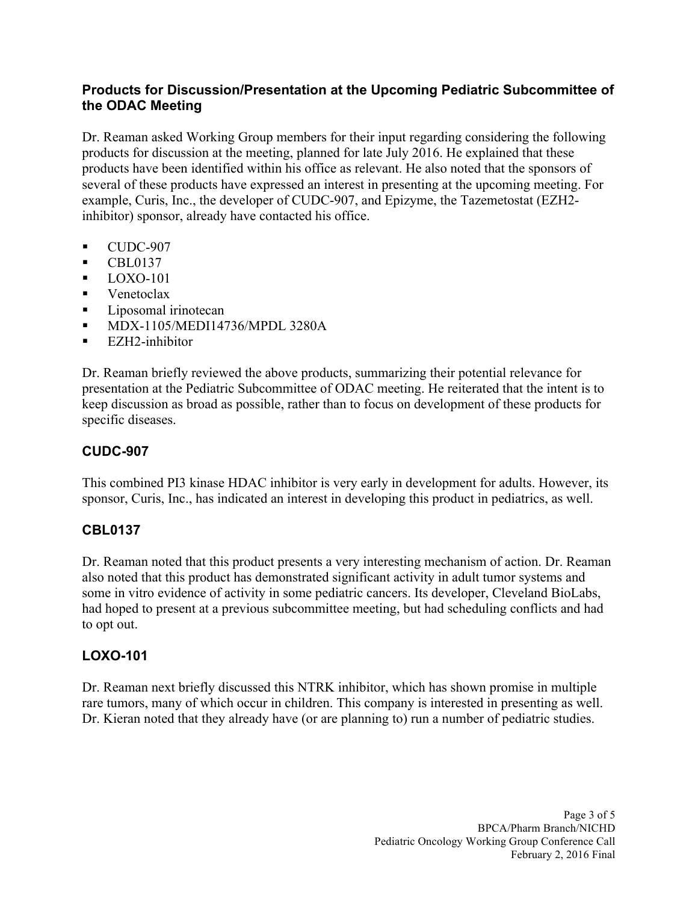### **Products for Discussion/Presentation at the Upcoming Pediatric Subcommittee of the ODAC Meeting**

 Dr. Reaman asked Working Group members for their input regarding considering the following example, Curis, Inc., the developer of CUDC-907, and Epizyme, the Tazemetostat (EZH2- inhibitor) sponsor, already have contacted his office. products for discussion at the meeting, planned for late July 2016. He explained that these products have been identified within his office as relevant. He also noted that the sponsors of several of these products have expressed an interest in presenting at the upcoming meeting. For

- $\blacksquare$  CUDC-907
- § CBL0137
- $\blacksquare$  LOXO-101
- Venetoclax
- Liposomal irinotecan
- § MDX-1105/MEDI14736/MPDL 3280A
- EZH2-inhibitor

Dr. Reaman briefly reviewed the above products, summarizing their potential relevance for presentation at the Pediatric Subcommittee of ODAC meeting. He reiterated that the intent is to keep discussion as broad as possible, rather than to focus on development of these products for specific diseases.

## **CUDC-907**

 This combined PI3 kinase HDAC inhibitor is very early in development for adults. However, its sponsor, Curis, Inc., has indicated an interest in developing this product in pediatrics, as well.

## **CBL0137**

 to opt out. Dr. Reaman noted that this product presents a very interesting mechanism of action. Dr. Reaman also noted that this product has demonstrated significant activity in adult tumor systems and some in vitro evidence of activity in some pediatric cancers. Its developer, Cleveland BioLabs, had hoped to present at a previous subcommittee meeting, but had scheduling conflicts and had

## **LOXO-101**

 Dr. Reaman next briefly discussed this NTRK inhibitor, which has shown promise in multiple rare tumors, many of which occur in children. This company is interested in presenting as well. Dr. Kieran noted that they already have (or are planning to) run a number of pediatric studies.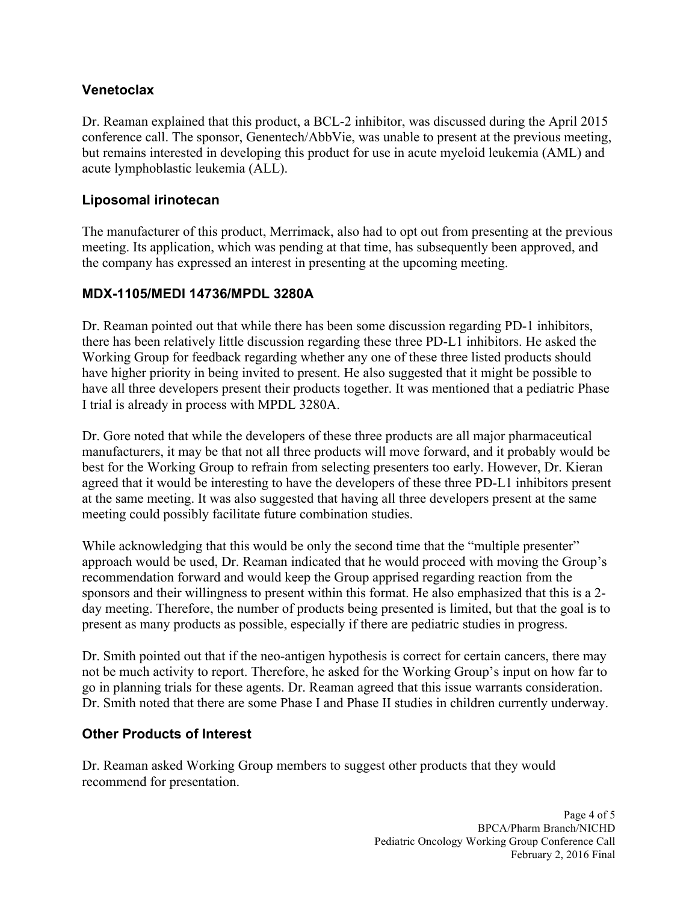### **Venetoclax**

 conference call. The sponsor, Genentech/AbbVie, was unable to present at the previous meeting, but remains interested in developing this product for use in acute myeloid leukemia (AML) and acute lymphoblastic leukemia (ALL). Dr. Reaman explained that this product, a BCL-2 inhibitor, was discussed during the April 2015

### **Liposomal irinotecan**

The manufacturer of this product, Merrimack, also had to opt out from presenting at the previous meeting. Its application, which was pending at that time, has subsequently been approved, and the company has expressed an interest in presenting at the upcoming meeting.

#### **MDX-1105/MEDI 14736/MPDL 3280A**

 there has been relatively little discussion regarding these three PD-L1 inhibitors. He asked the have all three developers present their products together. It was mentioned that a pediatric Phase I trial is already in process with MPDL 3280A. Dr. Reaman pointed out that while there has been some discussion regarding PD-1 inhibitors, Working Group for feedback regarding whether any one of these three listed products should have higher priority in being invited to present. He also suggested that it might be possible to

 Dr. Gore noted that while the developers of these three products are all major pharmaceutical manufacturers, it may be that not all three products will move forward, and it probably would be best for the Working Group to refrain from selecting presenters too early. However, Dr. Kieran agreed that it would be interesting to have the developers of these three PD-L1 inhibitors present at the same meeting. It was also suggested that having all three developers present at the same meeting could possibly facilitate future combination studies.

 present as many products as possible, especially if there are pediatric studies in progress. While acknowledging that this would be only the second time that the "multiple presenter" approach would be used, Dr. Reaman indicated that he would proceed with moving the Group's recommendation forward and would keep the Group apprised regarding reaction from the sponsors and their willingness to present within this format. He also emphasized that this is a 2 day meeting. Therefore, the number of products being presented is limited, but that the goal is to

Dr. Smith pointed out that if the neo-antigen hypothesis is correct for certain cancers, there may not be much activity to report. Therefore, he asked for the Working Group's input on how far to go in planning trials for these agents. Dr. Reaman agreed that this issue warrants consideration. Dr. Smith noted that there are some Phase I and Phase II studies in children currently underway.

#### **Other Products of Interest**

 Dr. Reaman asked Working Group members to suggest other products that they would recommend for presentation.